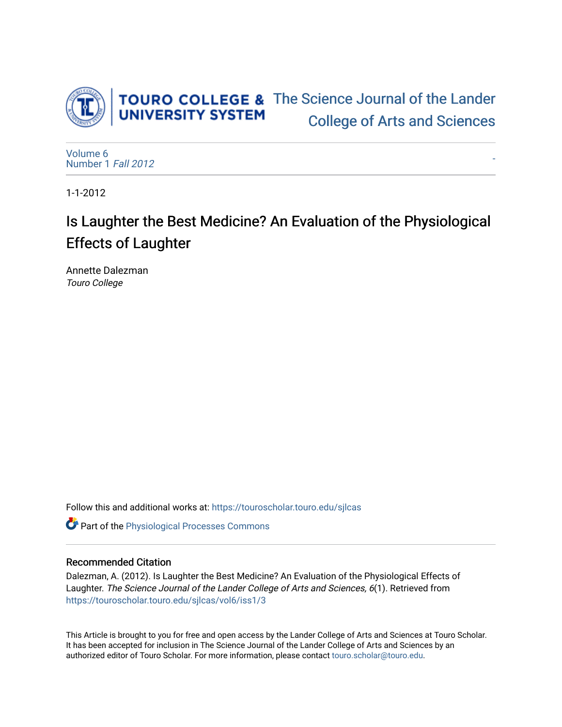

[-](https://touroscholar.touro.edu/sjlcas/vol6/iss1/3) 

[Volume 6](https://touroscholar.touro.edu/sjlcas/vol6) [Number 1](https://touroscholar.touro.edu/sjlcas/vol6/iss1) Fall 2012

1-1-2012

# Is Laughter the Best Medicine? An Evaluation of the Physiological Effects of Laughter

Annette Dalezman Touro College

Follow this and additional works at: [https://touroscholar.touro.edu/sjlcas](https://touroscholar.touro.edu/sjlcas?utm_source=touroscholar.touro.edu%2Fsjlcas%2Fvol6%2Fiss1%2F3&utm_medium=PDF&utm_campaign=PDFCoverPages) 

**C** Part of the Physiological Processes Commons

## Recommended Citation

Dalezman, A. (2012). Is Laughter the Best Medicine? An Evaluation of the Physiological Effects of Laughter. The Science Journal of the Lander College of Arts and Sciences, 6(1). Retrieved from [https://touroscholar.touro.edu/sjlcas/vol6/iss1/3](https://touroscholar.touro.edu/sjlcas/vol6/iss1/3?utm_source=touroscholar.touro.edu%2Fsjlcas%2Fvol6%2Fiss1%2F3&utm_medium=PDF&utm_campaign=PDFCoverPages) 

This Article is brought to you for free and open access by the Lander College of Arts and Sciences at Touro Scholar. It has been accepted for inclusion in The Science Journal of the Lander College of Arts and Sciences by an authorized editor of Touro Scholar. For more information, please contact [touro.scholar@touro.edu](mailto:touro.scholar@touro.edu).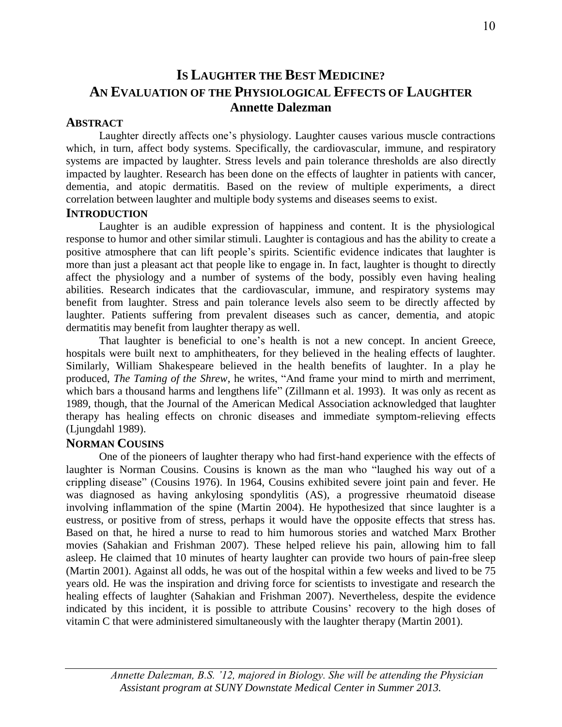## **IS LAUGHTER THE BEST MEDICINE? AN EVALUATION OF THE PHYSIOLOGICAL EFFECTS OF LAUGHTER Annette Dalezman**

## **ABSTRACT**

Laughter directly affects one's physiology. Laughter causes various muscle contractions which, in turn, affect body systems. Specifically, the cardiovascular, immune, and respiratory systems are impacted by laughter. Stress levels and pain tolerance thresholds are also directly impacted by laughter. Research has been done on the effects of laughter in patients with cancer, dementia, and atopic dermatitis. Based on the review of multiple experiments, a direct correlation between laughter and multiple body systems and diseases seems to exist.

## **INTRODUCTION**

Laughter is an audible expression of happiness and content. It is the physiological response to humor and other similar stimuli. Laughter is contagious and has the ability to create a positive atmosphere that can lift people's spirits. Scientific evidence indicates that laughter is more than just a pleasant act that people like to engage in. In fact, laughter is thought to directly affect the physiology and a number of systems of the body, possibly even having healing abilities. Research indicates that the cardiovascular, immune, and respiratory systems may benefit from laughter. Stress and pain tolerance levels also seem to be directly affected by laughter. Patients suffering from prevalent diseases such as cancer, dementia, and atopic dermatitis may benefit from laughter therapy as well.

That laughter is beneficial to one's health is not a new concept. In ancient Greece, hospitals were built next to amphitheaters, for they believed in the healing effects of laughter. Similarly, William Shakespeare believed in the health benefits of laughter. In a play he produced, *The Taming of the Shrew*, he writes, "And frame your mind to mirth and merriment, which bars a thousand harms and lengthens life" (Zillmann et al. 1993). It was only as recent as 1989, though, that the Journal of the American Medical Association acknowledged that laughter therapy has healing effects on chronic diseases and immediate symptom-relieving effects (Ljungdahl 1989).

## **NORMAN COUSINS**

One of the pioneers of laughter therapy who had first-hand experience with the effects of laughter is Norman Cousins. Cousins is known as the man who "laughed his way out of a crippling disease" (Cousins 1976). In 1964, Cousins exhibited severe joint pain and fever. He was diagnosed as having ankylosing spondylitis (AS), a progressive rheumatoid disease involving inflammation of the spine (Martin 2004). He hypothesized that since laughter is a eustress, or positive from of stress, perhaps it would have the opposite effects that stress has. Based on that, he hired a nurse to read to him humorous stories and watched Marx Brother movies (Sahakian and Frishman 2007). These helped relieve his pain, allowing him to fall asleep. He claimed that 10 minutes of hearty laughter can provide two hours of pain-free sleep (Martin 2001). Against all odds, he was out of the hospital within a few weeks and lived to be 75 years old. He was the inspiration and driving force for scientists to investigate and research the healing effects of laughter (Sahakian and Frishman 2007). Nevertheless, despite the evidence indicated by this incident, it is possible to attribute Cousins' recovery to the high doses of vitamin C that were administered simultaneously with the laughter therapy (Martin 2001).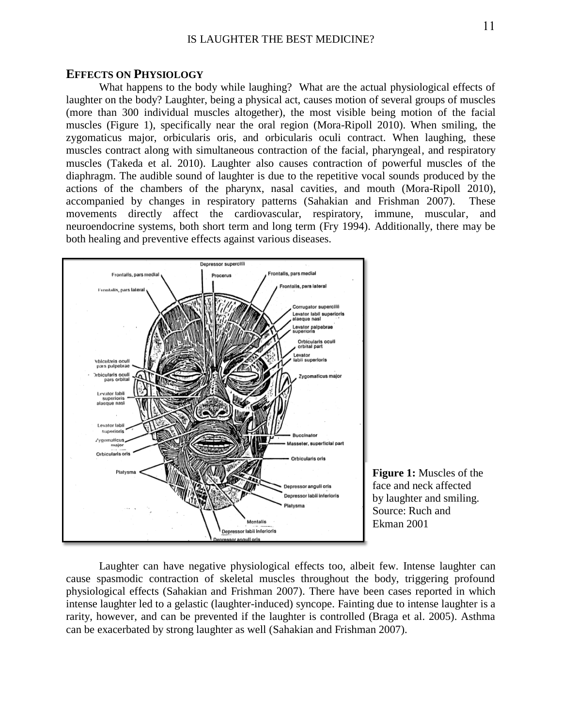#### **EFFECTS ON PHYSIOLOGY**

What happens to the body while laughing? What are the actual physiological effects of laughter on the body? Laughter, being a physical act, causes motion of several groups of muscles (more than 300 individual muscles altogether), the most visible being motion of the facial muscles (Figure 1), specifically near the oral region (Mora-Ripoll 2010). When smiling, the zygomaticus major, orbicularis oris, and orbicularis oculi contract. When laughing, these muscles contract along with simultaneous contraction of the facial, pharyngeal, and respiratory muscles (Takeda et al. 2010). Laughter also causes contraction of powerful muscles of the diaphragm. The audible sound of laughter is due to the repetitive vocal sounds produced by the actions of the chambers of the pharynx, nasal cavities, and mouth (Mora-Ripoll 2010), accompanied by changes in respiratory patterns (Sahakian and Frishman 2007). These movements directly affect the cardiovascular, respiratory, immune, muscular, and neuroendocrine systems, both short term and long term (Fry 1994). Additionally, there may be both healing and preventive effects against various diseases.





Laughter can have negative physiological effects too, albeit few. Intense laughter can cause spasmodic contraction of skeletal muscles throughout the body, triggering profound physiological effects (Sahakian and Frishman 2007). There have been cases reported in which intense laughter led to a gelastic (laughter-induced) syncope. Fainting due to intense laughter is a rarity, however, and can be prevented if the laughter is controlled (Braga et al. 2005). Asthma can be exacerbated by strong laughter as well (Sahakian and Frishman 2007).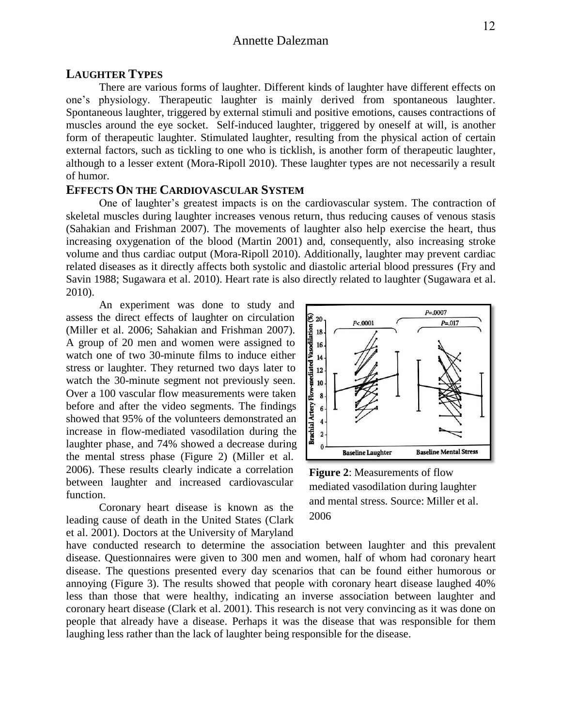## Annette Dalezman

## **LAUGHTER TYPES**

There are various forms of laughter. Different kinds of laughter have different effects on one's physiology. Therapeutic laughter is mainly derived from spontaneous laughter. Spontaneous laughter, triggered by external stimuli and positive emotions, causes contractions of muscles around the eye socket. Self-induced laughter, triggered by oneself at will, is another form of therapeutic laughter. Stimulated laughter, resulting from the physical action of certain external factors, such as tickling to one who is ticklish, is another form of therapeutic laughter, although to a lesser extent (Mora-Ripoll 2010). These laughter types are not necessarily a result of humor.

#### **EFFECTS ON THE CARDIOVASCULAR SYSTEM**

One of laughter's greatest impacts is on the cardiovascular system. The contraction of skeletal muscles during laughter increases venous return, thus reducing causes of venous stasis (Sahakian and Frishman 2007). The movements of laughter also help exercise the heart, thus increasing oxygenation of the blood (Martin 2001) and, consequently, also increasing stroke volume and thus cardiac output (Mora-Ripoll 2010). Additionally, laughter may prevent cardiac related diseases as it directly affects both systolic and diastolic arterial blood pressures (Fry and Savin 1988; Sugawara et al. 2010). Heart rate is also directly related to laughter (Sugawara et al. 2010).

An experiment was done to study and assess the direct effects of laughter on circulation (Miller et al. 2006; Sahakian and Frishman 2007). A group of 20 men and women were assigned to watch one of two 30-minute films to induce either stress or laughter. They returned two days later to watch the 30-minute segment not previously seen. Over a 100 vascular flow measurements were taken before and after the video segments. The findings showed that 95% of the volunteers demonstrated an increase in flow-mediated vasodilation during the laughter phase, and 74% showed a decrease during the mental stress phase (Figure 2) (Miller et al. 2006). These results clearly indicate a correlation between laughter and increased cardiovascular function.

Coronary heart disease is known as the leading cause of death in the United States (Clark et al. 2001). Doctors at the University of Maryland



**Figure 2**: Measurements of flow mediated vasodilation during laughter and mental stress. Source: Miller et al. 2006

have conducted research to determine the association between laughter and this prevalent disease. Questionnaires were given to 300 men and women, half of whom had coronary heart disease. The questions presented every day scenarios that can be found either humorous or annoying (Figure 3). The results showed that people with coronary heart disease laughed 40% less than those that were healthy, indicating an inverse association between laughter and coronary heart disease (Clark et al. 2001). This research is not very convincing as it was done on people that already have a disease. Perhaps it was the disease that was responsible for them laughing less rather than the lack of laughter being responsible for the disease.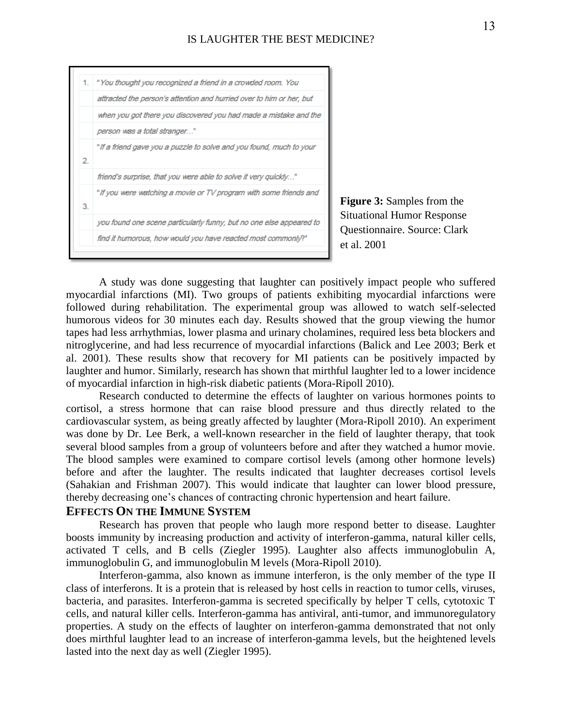

**Figure 3:** Samples from the Situational Humor Response Questionnaire. Source: Clark et al. 2001

A study was done suggesting that laughter can positively impact people who suffered myocardial infarctions (MI). Two groups of patients exhibiting myocardial infarctions were followed during rehabilitation. The experimental group was allowed to watch self-selected humorous videos for 30 minutes each day. Results showed that the group viewing the humor tapes had less arrhythmias, lower plasma and urinary cholamines, required less beta blockers and nitroglycerine, and had less recurrence of myocardial infarctions (Balick and Lee 2003; Berk et al. 2001). These results show that recovery for MI patients can be positively impacted by laughter and humor. Similarly, research has shown that mirthful laughter led to a lower incidence of myocardial infarction in high-risk diabetic patients (Mora-Ripoll 2010).

Research conducted to determine the effects of laughter on various hormones points to cortisol, a stress hormone that can raise blood pressure and thus directly related to the cardiovascular system, as being greatly affected by laughter (Mora-Ripoll 2010). An experiment was done by Dr. Lee Berk, a well-known researcher in the field of laughter therapy, that took several blood samples from a group of volunteers before and after they watched a humor movie. The blood samples were examined to compare cortisol levels (among other hormone levels) before and after the laughter. The results indicated that laughter decreases cortisol levels (Sahakian and Frishman 2007). This would indicate that laughter can lower blood pressure, thereby decreasing one's chances of contracting chronic hypertension and heart failure.

## **EFFECTS ON THE IMMUNE SYSTEM**

Research has proven that people who laugh more respond better to disease. Laughter boosts immunity by increasing production and activity of interferon-gamma, natural killer cells, activated T cells, and B cells (Ziegler 1995). Laughter also affects immunoglobulin A, immunoglobulin G, and immunoglobulin M levels (Mora-Ripoll 2010).

Interferon-gamma, also known as immune interferon, is the only member of the type II class of interferons. It is a protein that is released by host cells in reaction to tumor cells, viruses, bacteria, and parasites. Interferon-gamma is secreted specifically by helper T cells, cytotoxic T cells, and natural killer cells. Interferon-gamma has antiviral, anti-tumor, and immunoregulatory properties. A study on the effects of laughter on interferon-gamma demonstrated that not only does mirthful laughter lead to an increase of interferon-gamma levels, but the heightened levels lasted into the next day as well (Ziegler 1995).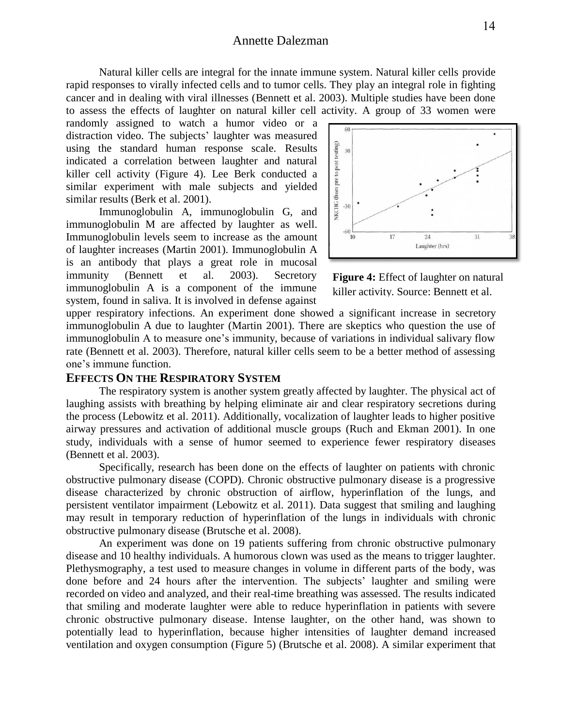## Annette Dalezman

Natural killer cells are integral for the innate immune system. Natural killer cells provide rapid responses to virally infected cells and to tumor cells. They play an integral role in fighting cancer and in dealing with viral illnesses (Bennett et al. 2003). Multiple studies have been done to assess the effects of laughter on natural killer cell activity. A group of 33 women were

randomly assigned to watch a humor video or a distraction video. The subjects' laughter was measured using the standard human response scale. Results indicated a correlation between laughter and natural killer cell activity (Figure 4). Lee Berk conducted a similar experiment with male subjects and yielded similar results (Berk et al. 2001).

Immunoglobulin A, immunoglobulin G, and immunoglobulin M are affected by laughter as well. Immunoglobulin levels seem to increase as the amount of laughter increases (Martin 2001). Immunoglobulin A is an antibody that plays a great role in mucosal immunity (Bennett et al. 2003). Secretory immunoglobulin A is a component of the immune system, found in saliva. It is involved in defense against



**Figure 4:** Effect of laughter on natural killer activity. Source: Bennett et al.

system, found in sanva. It is involved in defense against<br>upper respiratory infections. An experiment done showed a significant increase in secretory immunoglobulin A due to laughter (Martin 2001). There are skeptics who question the use of immunoglobulin A to measure one's immunity, because of variations in individual salivary flow rate (Bennett et al. 2003). Therefore, natural killer cells seem to be a better method of assessing one's immune function.

#### **EFFECTS ON THE RESPIRATORY SYSTEM**

The respiratory system is another system greatly affected by laughter. The physical act of laughing assists with breathing by helping eliminate air and clear respiratory secretions during the process (Lebowitz et al. 2011). Additionally, vocalization of laughter leads to higher positive airway pressures and activation of additional muscle groups (Ruch and Ekman 2001). In one study, individuals with a sense of humor seemed to experience fewer respiratory diseases (Bennett et al. 2003).

Specifically, research has been done on the effects of laughter on patients with chronic obstructive pulmonary disease (COPD). Chronic obstructive pulmonary disease is a progressive disease characterized by chronic obstruction of airflow, hyperinflation of the lungs, and persistent ventilator impairment (Lebowitz et al. 2011). Data suggest that smiling and laughing may result in temporary reduction of hyperinflation of the lungs in individuals with chronic obstructive pulmonary disease (Brutsche et al. 2008).

An experiment was done on 19 patients suffering from chronic obstructive pulmonary disease and 10 healthy individuals. A humorous clown was used as the means to trigger laughter. Plethysmography, a test used to measure changes in volume in different parts of the body, was done before and 24 hours after the intervention. The subjects' laughter and smiling were recorded on video and analyzed, and their real-time breathing was assessed. The results indicated that smiling and moderate laughter were able to reduce hyperinflation in patients with severe chronic obstructive pulmonary disease. Intense laughter, on the other hand, was shown to potentially lead to hyperinflation, because higher intensities of laughter demand increased ventilation and oxygen consumption (Figure 5) (Brutsche et al. 2008). A similar experiment that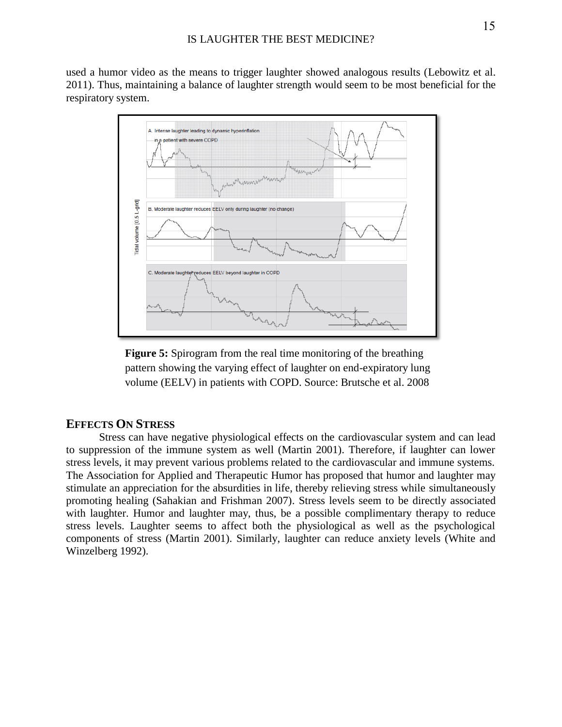used a humor video as the means to trigger laughter showed analogous results (Lebowitz et al. 2011). Thus, maintaining a balance of laughter strength would seem to be most beneficial for the respiratory system.



**Figure 5:** Spirogram from the real time monitoring of the breathing pattern showing the varying effect of laughter on end-expiratory lung volume (EELV) in patients with COPD. Source: Brutsche et al. 2008

## **EFFECTS ON STRESS**

Stress can have negative physiological effects on the cardiovascular system and can lead to suppression of the immune system as well (Martin 2001). Therefore, if laughter can lower stress levels, it may prevent various problems related to the cardiovascular and immune systems. The Association for Applied and Therapeutic Humor has proposed that humor and laughter may stimulate an appreciation for the absurdities in life, thereby relieving stress while simultaneously promoting healing (Sahakian and Frishman 2007). Stress levels seem to be directly associated with laughter. Humor and laughter may, thus, be a possible complimentary therapy to reduce stress levels. Laughter seems to affect both the physiological as well as the psychological components of stress (Martin 2001). Similarly, laughter can reduce anxiety levels (White and Winzelberg 1992).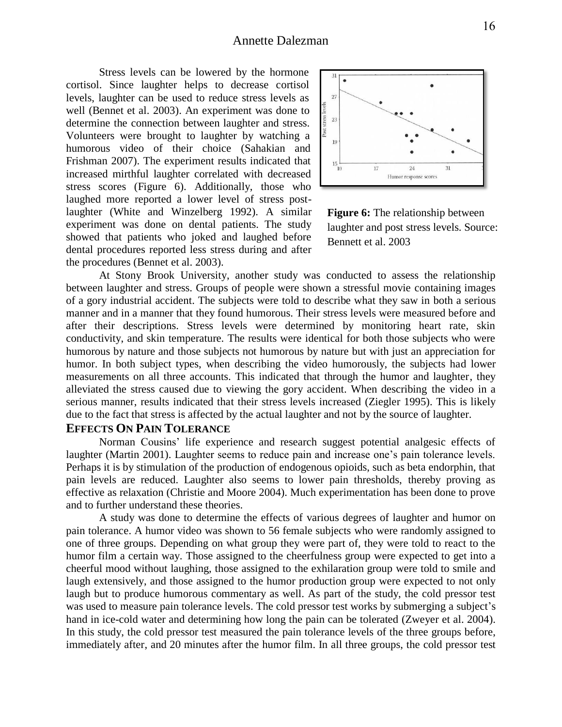Stress levels can be lowered by the hormone cortisol. Since laughter helps to decrease cortisol levels, laughter can be used to reduce stress levels as well (Bennet et al. 2003). An experiment was done to determine the connection between laughter and stress. Volunteers were brought to laughter by watching a humorous video of their choice (Sahakian and Frishman 2007). The experiment results indicated that increased mirthful laughter correlated with decreased stress scores (Figure 6). Additionally, those who laughed more reported a lower level of stress postlaughter (White and Winzelberg 1992). A similar experiment was done on dental patients. The study showed that patients who joked and laughed before dental procedures reported less stress during and after the procedures (Bennet et al. 2003).



**Figure 6:** The relationship between laughter and post stress levels. Source: Bennett et al. 2003

At Stony Brook University, another study was conducted to assess the relationship between laughter and stress. Groups of people were shown a stressful movie containing images of a gory industrial accident. The subjects were told to describe what they saw in both a serious manner and in a manner that they found humorous. Their stress levels were measured before and after their descriptions. Stress levels were determined by monitoring heart rate, skin conductivity, and skin temperature. The results were identical for both those subjects who were humorous by nature and those subjects not humorous by nature but with just an appreciation for humor. In both subject types, when describing the video humorously, the subjects had lower measurements on all three accounts. This indicated that through the humor and laughter, they alleviated the stress caused due to viewing the gory accident. When describing the video in a serious manner, results indicated that their stress levels increased (Ziegler 1995). This is likely due to the fact that stress is affected by the actual laughter and not by the source of laughter.

### **EFFECTS ON PAIN TOLERANCE**

Norman Cousins' life experience and research suggest potential analgesic effects of laughter (Martin 2001). Laughter seems to reduce pain and increase one's pain tolerance levels. Perhaps it is by stimulation of the production of endogenous opioids, such as beta endorphin, that pain levels are reduced. Laughter also seems to lower pain thresholds, thereby proving as effective as relaxation (Christie and Moore 2004). Much experimentation has been done to prove and to further understand these theories.

A study was done to determine the effects of various degrees of laughter and humor on pain tolerance. A humor video was shown to 56 female subjects who were randomly assigned to one of three groups. Depending on what group they were part of, they were told to react to the humor film a certain way. Those assigned to the cheerfulness group were expected to get into a cheerful mood without laughing, those assigned to the exhilaration group were told to smile and laugh extensively, and those assigned to the humor production group were expected to not only laugh but to produce humorous commentary as well. As part of the study, the cold pressor test was used to measure pain tolerance levels. The cold pressor test works by submerging a subject's hand in ice-cold water and determining how long the pain can be tolerated (Zweyer et al. 2004). In this study, the cold pressor test measured the pain tolerance levels of the three groups before, immediately after, and 20 minutes after the humor film. In all three groups, the cold pressor test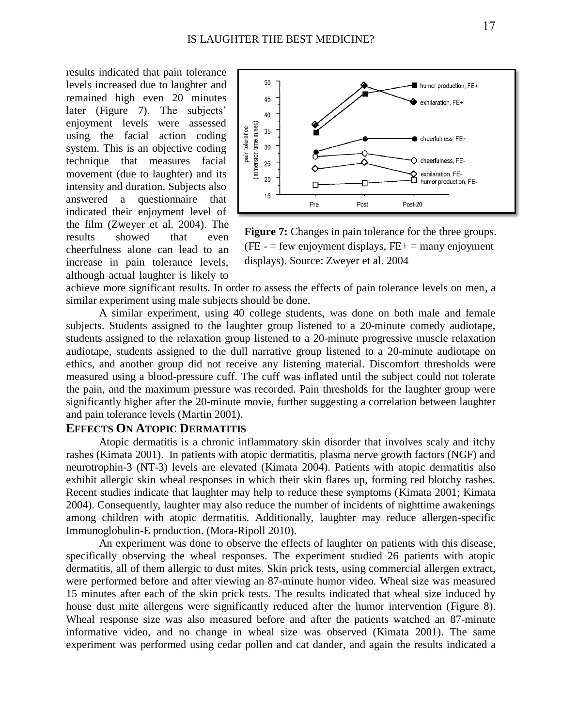results indicated that pain tolerance levels increased due to laughter and remained high even 20 minutes later (Figure 7). The subjects' enjoyment levels were assessed using the facial action coding system. This is an objective coding technique that measures facial movement (due to laughter) and its intensity and duration. Subjects also answered a questionnaire that indicated their enjoyment level of the film (Zweyer et al. 2004). The results showed that even cheerfulness alone can lead to an increase in pain tolerance levels, although actual laughter is likely to



Figure 7: Changes in pain tolerance for the three groups.  $(FE - = few \text{ enjoyment displays}, FE + = \text{many \text{ enjoyment}}$ displays). Source: Zweyer et al. 2004

achieve more significant results. In order to assess the effects of pain tolerance levels on men, a similar experiment using male subjects should be done.

A similar experiment, using 40 college students, was done on both male and female subjects. Students assigned to the laughter group listened to a 20-minute comedy audiotape, students assigned to the relaxation group listened to a 20-minute progressive muscle relaxation audiotape, students assigned to the dull narrative group listened to a 20-minute audiotape on ethics, and another group did not receive any listening material. Discomfort thresholds were measured using a blood-pressure cuff. The cuff was inflated until the subject could not tolerate the pain, and the maximum pressure was recorded. Pain thresholds for the laughter group were significantly higher after the 20-minute movie, further suggesting a correlation between laughter and pain tolerance levels (Martin 2001).

### **EFFECTS ON ATOPIC DERMATITIS**

Atopic dermatitis is a chronic inflammatory skin disorder that involves scaly and itchy rashes (Kimata 2001). In patients with atopic dermatitis, plasma nerve growth factors (NGF) and neurotrophin-3 (NT-3) levels are elevated (Kimata 2004). Patients with atopic dermatitis also exhibit allergic skin wheal responses in which their skin flares up, forming red blotchy rashes. Recent studies indicate that laughter may help to reduce these symptoms (Kimata 2001; Kimata 2004). Consequently, laughter may also reduce the number of incidents of nighttime awakenings among children with atopic dermatitis. Additionally, laughter may reduce allergen-specific Immunoglobulin-E production. (Mora-Ripoll 2010).

An experiment was done to observe the effects of laughter on patients with this disease, specifically observing the wheal responses. The experiment studied 26 patients with atopic dermatitis, all of them allergic to dust mites. Skin prick tests, using commercial allergen extract, were performed before and after viewing an 87-minute humor video. Wheal size was measured 15 minutes after each of the skin prick tests. The results indicated that wheal size induced by house dust mite allergens were significantly reduced after the humor intervention (Figure 8). Wheal response size was also measured before and after the patients watched an 87-minute informative video, and no change in wheal size was observed (Kimata 2001). The same experiment was performed using cedar pollen and cat dander, and again the results indicated a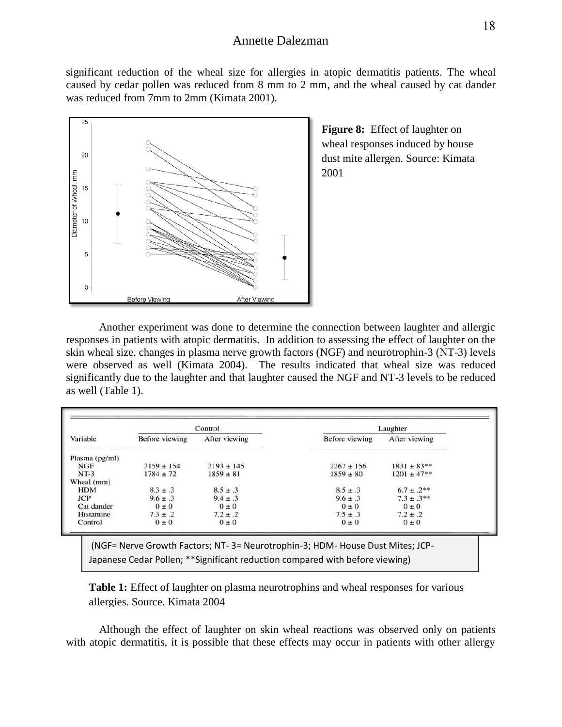significant reduction of the wheal size for allergies in atopic dermatitis patients. The wheal caused by cedar pollen was reduced from 8 mm to 2 mm, and the wheal caused by cat dander was reduced from 7mm to 2mm (Kimata 2001).



**Figure 8:** Effect of laughter on wheal responses induced by house dust mite allergen. Source: Kimata 2001

Another experiment was done to determine the connection between laughter and allergic responses in patients with atopic dermatitis. In addition to assessing the effect of laughter on the skin wheal size, changes in plasma nerve growth factors (NGF) and neurotrophin-3 (NT-3) levels were observed as well (Kimata 2004). The results indicated that wheal size was reduced significantly due to the laughter and that laughter caused the NGF and NT-3 levels to be reduced as well (Table 1).

|                | Control        |                | Laughter       |                 |
|----------------|----------------|----------------|----------------|-----------------|
| Variable       | Before viewing | After viewing  | Before viewing | After viewing   |
| Plasma (pg/ml) |                |                |                |                 |
| <b>NGF</b>     | $2159 \pm 154$ | $2193 \pm 145$ | $2267 \pm 156$ | $1831 \pm 83**$ |
| $NT-3$         | $1784 \pm 72$  | $1859 \pm 81$  | $1859 \pm 80$  | $1201 \pm 47**$ |
| Wheal (mm)     |                |                |                |                 |
| <b>HDM</b>     | $8.3 \pm .3$   | $8.5 \pm .3$   | $8.5 \pm .3$   | $6.7 \pm .2**$  |
| <b>JCP</b>     | $9.6 \pm .3$   | $9.4 \pm .3$   | $9.6 \pm .3$   | $7.3 \pm .3**$  |
| Cat dander     | $0 \pm 0$      | $0 \pm 0$      | $0 \pm 0$      | $0 \pm 0$       |
| Histamine      | $7.3 \pm .2$   | $7.2 \pm .2$   | $7.5 \pm .3$   | $7.2 \pm .2$    |
| Control        | $0 \pm 0$      | $0 \pm 0$      | $0 \pm 0$      | $0 \pm 0$       |

(NGF= Nerve Growth Factors; NT- 3= Neurotrophin-3; HDM- House Dust Mites; JCP-Japanese Cedar Pollen; \*\*Significant reduction compared with before viewing)

**Table 1:** Effect of laughter on plasma neurotrophins and wheal responses for various allergies. Source. Kimata 2004

Although the effect of laughter on skin wheal reactions was observed only on patients with atopic dermatitis, it is possible that these effects may occur in patients with other allergy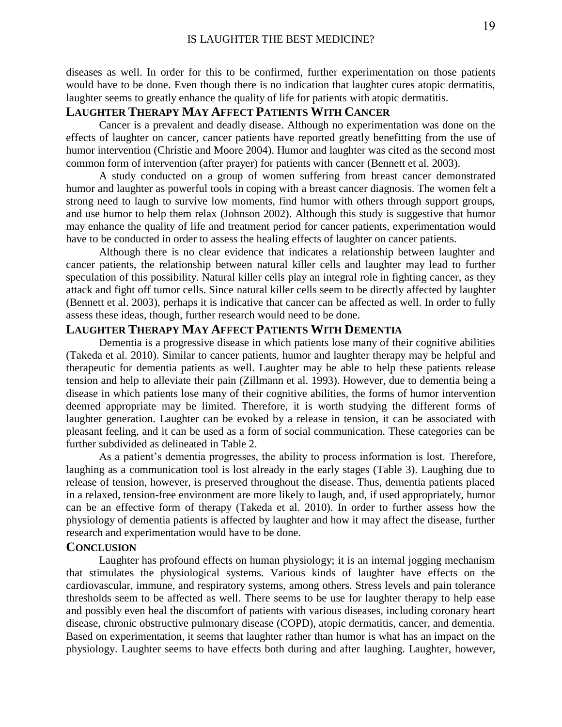diseases as well. In order for this to be confirmed, further experimentation on those patients would have to be done. Even though there is no indication that laughter cures atopic dermatitis, laughter seems to greatly enhance the quality of life for patients with atopic dermatitis.

## **LAUGHTER THERAPY MAY AFFECT PATIENTS WITH CANCER**

Cancer is a prevalent and deadly disease. Although no experimentation was done on the effects of laughter on cancer, cancer patients have reported greatly benefitting from the use of humor intervention (Christie and Moore 2004). Humor and laughter was cited as the second most common form of intervention (after prayer) for patients with cancer (Bennett et al. 2003).

A study conducted on a group of women suffering from breast cancer demonstrated humor and laughter as powerful tools in coping with a breast cancer diagnosis. The women felt a strong need to laugh to survive low moments, find humor with others through support groups, and use humor to help them relax (Johnson 2002). Although this study is suggestive that humor may enhance the quality of life and treatment period for cancer patients, experimentation would have to be conducted in order to assess the healing effects of laughter on cancer patients.

Although there is no clear evidence that indicates a relationship between laughter and cancer patients, the relationship between natural killer cells and laughter may lead to further speculation of this possibility. Natural killer cells play an integral role in fighting cancer, as they attack and fight off tumor cells. Since natural killer cells seem to be directly affected by laughter (Bennett et al. 2003), perhaps it is indicative that cancer can be affected as well. In order to fully assess these ideas, though, further research would need to be done.

## **LAUGHTER THERAPY MAY AFFECT PATIENTS WITH DEMENTIA**

Dementia is a progressive disease in which patients lose many of their cognitive abilities (Takeda et al. 2010). Similar to cancer patients, humor and laughter therapy may be helpful and therapeutic for dementia patients as well. Laughter may be able to help these patients release tension and help to alleviate their pain (Zillmann et al. 1993). However, due to dementia being a disease in which patients lose many of their cognitive abilities, the forms of humor intervention deemed appropriate may be limited. Therefore, it is worth studying the different forms of laughter generation. Laughter can be evoked by a release in tension, it can be associated with pleasant feeling, and it can be used as a form of social communication. These categories can be further subdivided as delineated in Table 2.

As a patient's dementia progresses, the ability to process information is lost. Therefore, laughing as a communication tool is lost already in the early stages (Table 3). Laughing due to release of tension, however, is preserved throughout the disease. Thus, dementia patients placed in a relaxed, tension-free environment are more likely to laugh, and, if used appropriately, humor can be an effective form of therapy (Takeda et al. 2010). In order to further assess how the physiology of dementia patients is affected by laughter and how it may affect the disease, further research and experimentation would have to be done.

#### **CONCLUSION**

Laughter has profound effects on human physiology; it is an internal jogging mechanism that stimulates the physiological systems. Various kinds of laughter have effects on the cardiovascular, immune, and respiratory systems, among others. Stress levels and pain tolerance thresholds seem to be affected as well. There seems to be use for laughter therapy to help ease and possibly even heal the discomfort of patients with various diseases, including coronary heart disease, chronic obstructive pulmonary disease (COPD), atopic dermatitis, cancer, and dementia. Based on experimentation, it seems that laughter rather than humor is what has an impact on the physiology. Laughter seems to have effects both during and after laughing. Laughter, however,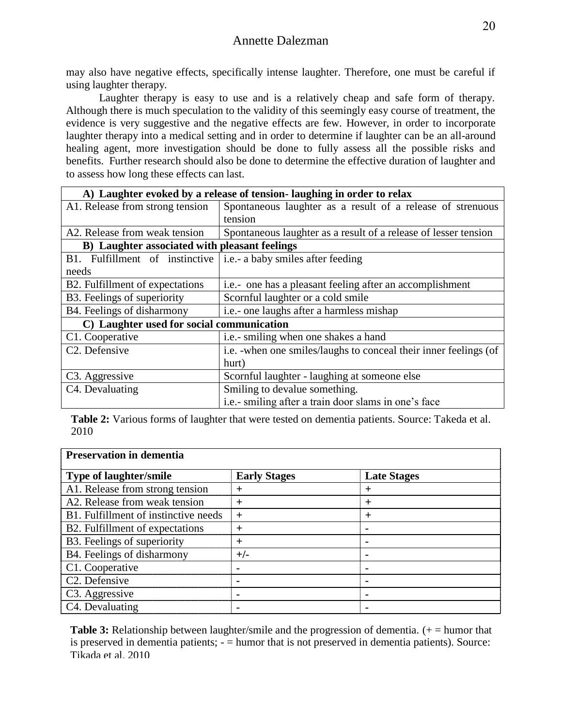may also have negative effects, specifically intense laughter. Therefore, one must be careful if using laughter therapy.

Laughter therapy is easy to use and is a relatively cheap and safe form of therapy. Although there is much speculation to the validity of this seemingly easy course of treatment, the evidence is very suggestive and the negative effects are few. However, in order to incorporate laughter therapy into a medical setting and in order to determine if laughter can be an all-around healing agent, more investigation should be done to fully assess all the possible risks and benefits. Further research should also be done to determine the effective duration of laughter and to assess how long these effects can last.

| A) Laughter evoked by a release of tension-laughing in order to relax |                                                                   |  |  |  |
|-----------------------------------------------------------------------|-------------------------------------------------------------------|--|--|--|
| A1. Release from strong tension                                       | Spontaneous laughter as a result of a release of strenuous        |  |  |  |
|                                                                       | tension                                                           |  |  |  |
| A2. Release from weak tension                                         | Spontaneous laughter as a result of a release of lesser tension   |  |  |  |
| B) Laughter associated with pleasant feelings                         |                                                                   |  |  |  |
| B1. Fulfillment of instinctive                                        | i.e.- a baby smiles after feeding                                 |  |  |  |
| needs                                                                 |                                                                   |  |  |  |
| B2. Fulfillment of expectations                                       | i.e.- one has a pleasant feeling after an accomplishment          |  |  |  |
| B3. Feelings of superiority                                           | Scornful laughter or a cold smile                                 |  |  |  |
| B4. Feelings of disharmony                                            | i.e.- one laughs after a harmless mishap                          |  |  |  |
| C) Laughter used for social communication                             |                                                                   |  |  |  |
| C1. Cooperative                                                       | i.e.- smiling when one shakes a hand                              |  |  |  |
| C <sub>2</sub> . Defensive                                            | i.e. - when one smiles/laughs to conceal their inner feelings (of |  |  |  |
|                                                                       | hurt)                                                             |  |  |  |
| C <sub>3</sub> . Aggressive                                           | Scornful laughter - laughing at someone else                      |  |  |  |
| C4. Devaluating                                                       | Smiling to devalue something.                                     |  |  |  |
|                                                                       | i.e.- smiling after a train door slams in one's face              |  |  |  |

**Table 2:** Various forms of laughter that were tested on dementia patients. Source: Takeda et al. 2010

| <b>Preservation in dementia</b>      |                     |                    |  |  |  |
|--------------------------------------|---------------------|--------------------|--|--|--|
| <b>Type of laughter/smile</b>        | <b>Early Stages</b> | <b>Late Stages</b> |  |  |  |
| A1. Release from strong tension      | $^{+}$              | $\pm$              |  |  |  |
| A2. Release from weak tension        | $\pm$               | $\pm$              |  |  |  |
| B1. Fulfillment of instinctive needs | $^{+}$              | $\pm$              |  |  |  |
| B2. Fulfillment of expectations      | $^{+}$              |                    |  |  |  |
| B3. Feelings of superiority          | $^{+}$              |                    |  |  |  |
| B4. Feelings of disharmony           | $+/-$               |                    |  |  |  |
| C1. Cooperative                      | $\blacksquare$      |                    |  |  |  |
| C <sub>2</sub> . Defensive           | $\blacksquare$      |                    |  |  |  |
| C <sub>3</sub> . Aggressive          | $\blacksquare$      |                    |  |  |  |
| C4. Devaluating                      |                     |                    |  |  |  |

**Table 3:** Relationship between laughter/smile and the progression of dementia. (+ = humor that is preserved in dementia patients; - = humor that is not preserved in dementia patients). Source: Tikada et al. 2010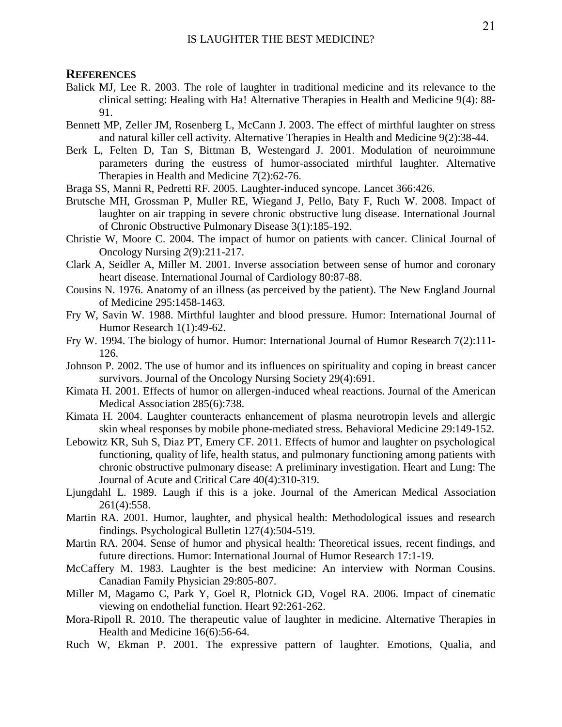#### **REFERENCES**

- Balick MJ, Lee R. 2003. The role of laughter in traditional medicine and its relevance to the clinical setting: Healing with Ha! Alternative Therapies in Health and Medicine 9(4): 88- 91.
- Bennett MP, Zeller JM, Rosenberg L, McCann J. 2003. The effect of mirthful laughter on stress and natural killer cell activity. Alternative Therapies in Health and Medicine 9(2):38-44.
- Berk L, Felten D, Tan S, Bittman B, Westengard J. 2001. Modulation of neuroimmune parameters during the eustress of humor-associated mirthful laughter. Alternative Therapies in Health and Medicine *7*(2):62-76.
- Braga SS, Manni R, Pedretti RF. 2005. Laughter-induced syncope. Lancet 366:426.
- Brutsche MH, Grossman P, Muller RE, Wiegand J, Pello, Baty F, Ruch W. 2008. Impact of laughter on air trapping in severe chronic obstructive lung disease. International Journal of Chronic Obstructive Pulmonary Disease 3(1):185-192.
- Christie W, Moore C. 2004. The impact of humor on patients with cancer. Clinical Journal of Oncology Nursing *2*(9):211-217.
- Clark A, Seidler A, Miller M. 2001. Inverse association between sense of humor and coronary heart disease. International Journal of Cardiology 80:87-88.
- Cousins N. 1976. Anatomy of an illness (as perceived by the patient). The New England Journal of Medicine 295:1458-1463.
- Fry W, Savin W. 1988. Mirthful laughter and blood pressure. Humor: International Journal of Humor Research 1(1):49-62.
- Fry W. 1994. The biology of humor. Humor: International Journal of Humor Research 7(2):111- 126.
- Johnson P. 2002. The use of humor and its influences on spirituality and coping in breast cancer survivors. Journal of the Oncology Nursing Society 29(4):691.
- Kimata H. 2001. Effects of humor on allergen-induced wheal reactions. Journal of the American Medical Association 285(6):738.
- Kimata H. 2004. Laughter counteracts enhancement of plasma neurotropin levels and allergic skin wheal responses by mobile phone-mediated stress. Behavioral Medicine 29:149-152.
- Lebowitz KR, Suh S, Diaz PT, Emery CF. 2011. Effects of humor and laughter on psychological functioning, quality of life, health status, and pulmonary functioning among patients with chronic obstructive pulmonary disease: A preliminary investigation. Heart and Lung: The Journal of Acute and Critical Care 40(4):310-319.
- Ljungdahl L. 1989. Laugh if this is a joke. Journal of the American Medical Association 261(4):558.
- Martin RA. 2001. Humor, laughter, and physical health: Methodological issues and research findings. Psychological Bulletin 127(4):504-519.
- Martin RA. 2004. Sense of humor and physical health: Theoretical issues, recent findings, and future directions. Humor: International Journal of Humor Research 17:1-19.
- McCaffery M. 1983. Laughter is the best medicine: An interview with Norman Cousins. Canadian Family Physician 29:805-807.
- Miller M, Magamo C, Park Y, Goel R, Plotnick GD, Vogel RA. 2006. Impact of cinematic viewing on endothelial function. Heart 92:261-262.
- Mora-Ripoll R. 2010. The therapeutic value of laughter in medicine. Alternative Therapies in Health and Medicine 16(6):56-64.
- Ruch W, Ekman P. 2001. The expressive pattern of laughter. Emotions, Qualia, and